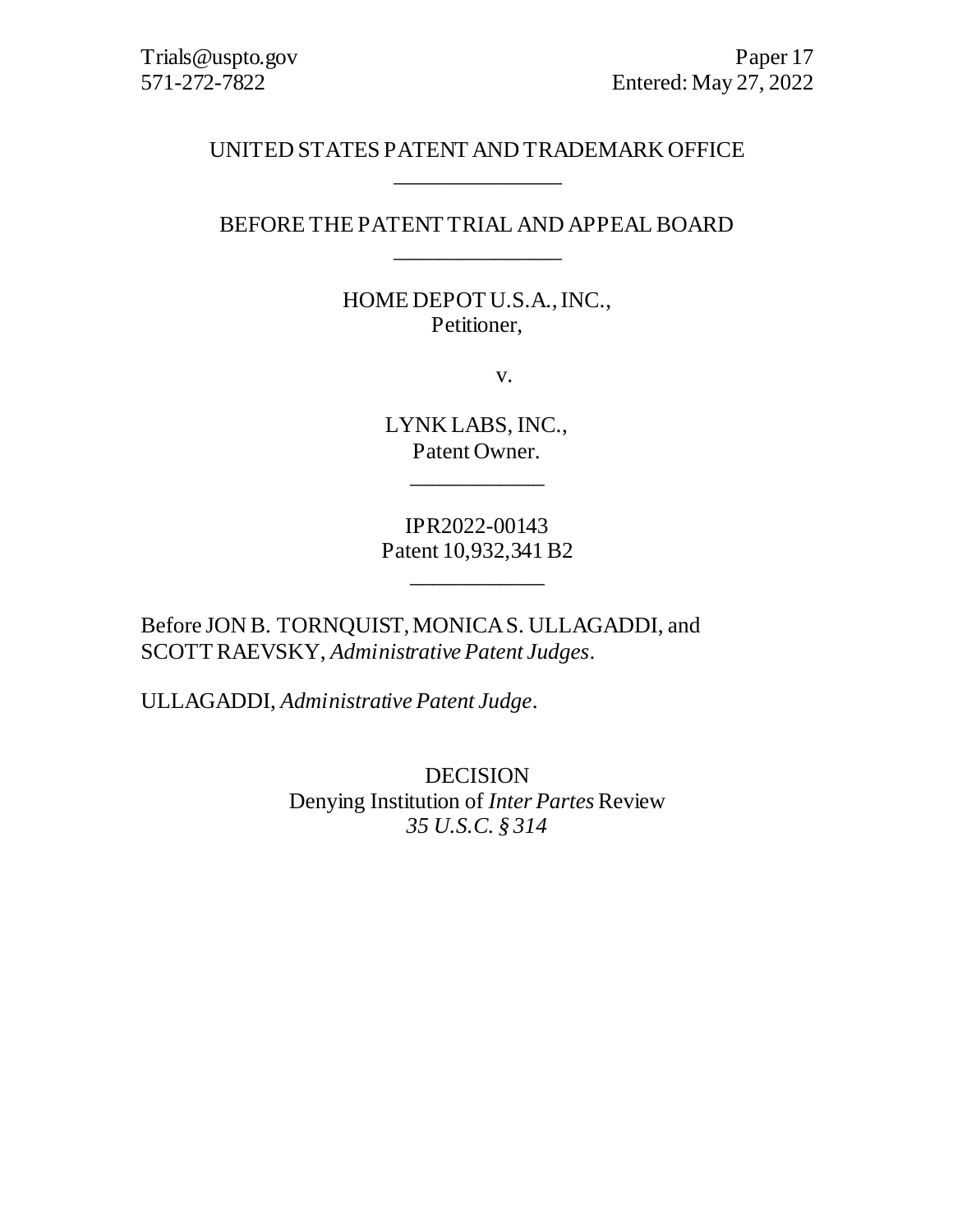# UNITED STATES PATENT AND TRADEMARK OFFICE \_\_\_\_\_\_\_\_\_\_\_\_\_\_\_

# BEFORE THE PATENT TRIAL AND APPEAL BOARD \_\_\_\_\_\_\_\_\_\_\_\_\_\_\_

# HOME DEPOT U.S.A., INC., Petitioner,

v.

LYNK LABS, INC., Patent Owner.

\_\_\_\_\_\_\_\_\_\_\_\_

IPR2022-00143 Patent 10,932,341 B2

\_\_\_\_\_\_\_\_\_\_\_\_

Before JON B. TORNQUIST, MONICA S. ULLAGADDI, and SCOTT RAEVSKY, *Administrative Patent Judges*.

ULLAGADDI, *Administrative Patent Judge*.

DECISION Denying Institution of *Inter Partes* Review *35 U.S.C. § 314*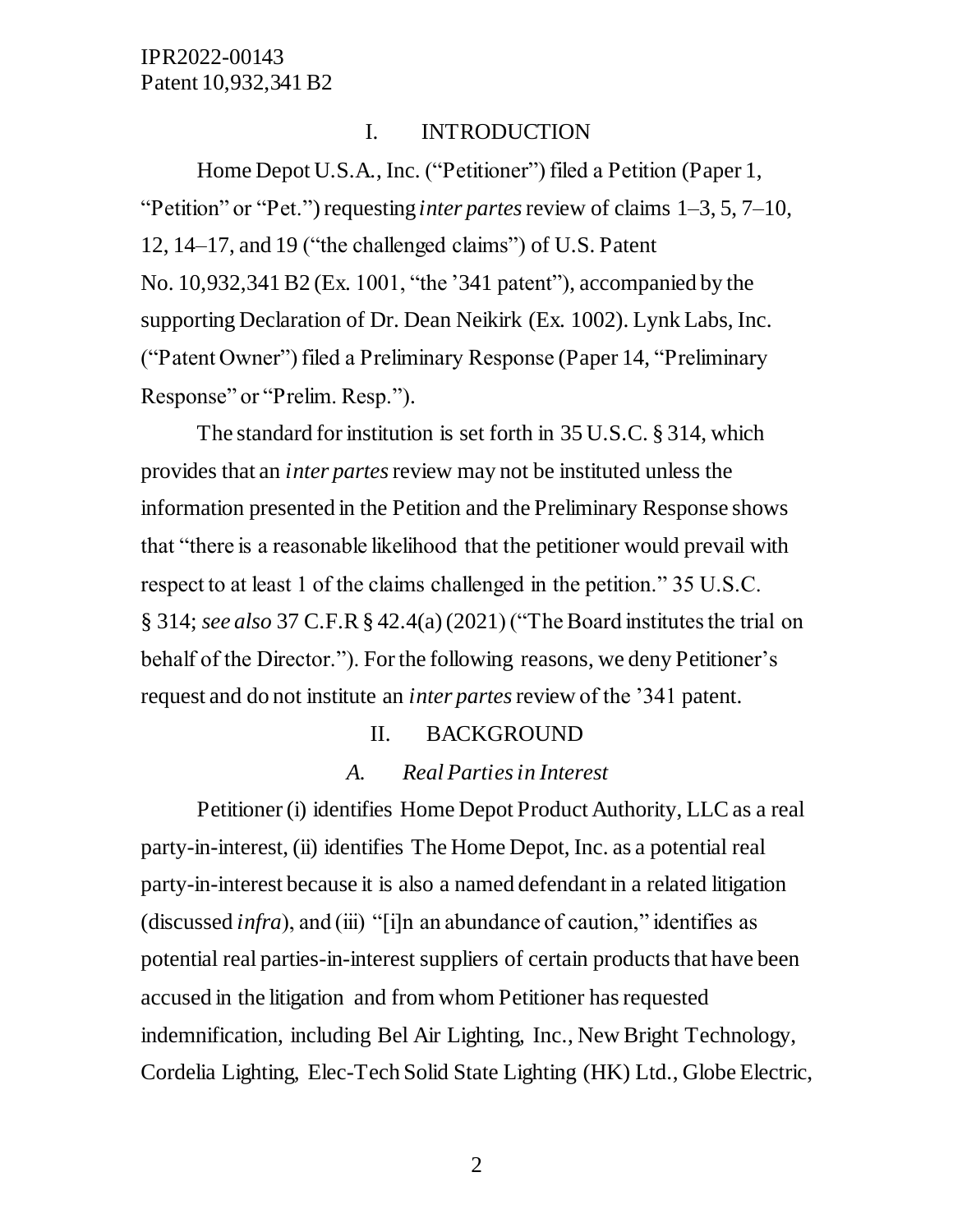#### I. INTRODUCTION

Home Depot U.S.A., Inc. ("Petitioner") filed a Petition (Paper 1, "Petition" or "Pet.") requesting *inter partes* review of claims 1–3, 5, 7–10, 12, 14–17, and 19 ("the challenged claims") of U.S. Patent No. 10,932,341 B2 (Ex. 1001, "the '341 patent"), accompanied by the supporting Declaration of Dr. Dean Neikirk (Ex. 1002). Lynk Labs, Inc. ("Patent Owner") filed a Preliminary Response (Paper 14, "Preliminary Response" or "Prelim. Resp.").

The standard for institution is set forth in 35 U.S.C. § 314, which provides that an *inter partes*review may not be instituted unless the information presented in the Petition and the Preliminary Response shows that "there is a reasonable likelihood that the petitioner would prevail with respect to at least 1 of the claims challenged in the petition." 35 U.S.C. § 314; *see also* 37 C.F.R § 42.4(a) (2021) ("The Board institutes the trial on behalf of the Director."). For the following reasons, we deny Petitioner's request and do not institute an *inter partes*review of the '341 patent.

#### II. BACKGROUND

#### *A. Real Parties in Interest*

Petitioner (i) identifies Home Depot Product Authority, LLC as a real party-in-interest, (ii) identifies The Home Depot, Inc. as a potential real party-in-interest because it is also a named defendant in a related litigation (discussed *infra*), and (iii) "[i]n an abundance of caution," identifies as potential real parties-in-interest suppliers of certain products that have been accused in the litigation and from whom Petitioner has requested indemnification, including Bel Air Lighting, Inc., New Bright Technology, Cordelia Lighting, Elec-Tech Solid State Lighting (HK) Ltd., Globe Electric,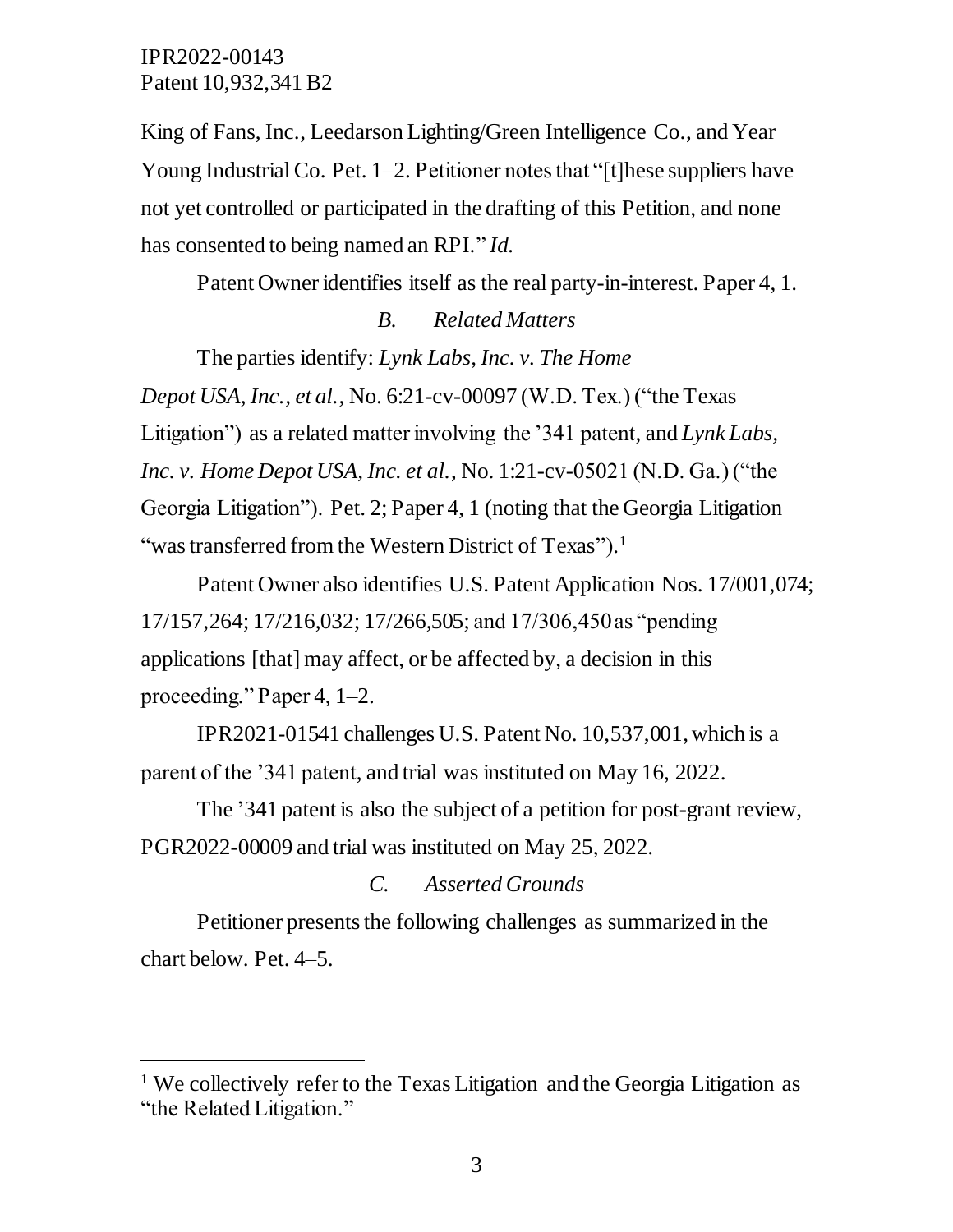$\overline{a}$ 

King of Fans, Inc., Leedarson Lighting/Green Intelligence Co., and Year Young Industrial Co. Pet. 1–2. Petitioner notes that "[t] hese suppliers have not yet controlled or participated in the drafting of this Petition, and none has consented to being named an RPI." *Id.*

Patent Owner identifies itself as the real party-in-interest. Paper 4, 1.

# *B. Related Matters*

The parties identify: *Lynk Labs, Inc. v. The Home Depot USA, Inc., et al.*, No. 6:21-cv-00097 (W.D. Tex.) ("the Texas Litigation") as a related matter involving the '341 patent, and *Lynk Labs, Inc. v. Home Depot USA, Inc. et al.*, No. 1:21-cv-05021 (N.D. Ga.) ("the Georgia Litigation"). Pet. 2; Paper 4, 1 (noting that the Georgia Litigation "was transferred from the Western District of Texas").<sup>1</sup>

Patent Owner also identifies U.S. Patent Application Nos. 17/001,074; 17/157,264; 17/216,032; 17/266,505; and 17/306,450 as "pending applications [that] may affect, or be affected by, a decision in this proceeding." Paper 4, 1–2.

IPR2021-01541 challenges U.S. Patent No. 10,537,001,which is a parent of the '341 patent, and trial was instituted on May 16, 2022.

The '341 patent is also the subject of a petition for post-grant review, PGR2022-00009 and trial was instituted on May 25, 2022.

# *C. Asserted Grounds*

Petitioner presents the following challenges as summarized in the chart below. Pet. 4–5.

<sup>&</sup>lt;sup>1</sup> We collectively refer to the Texas Litigation and the Georgia Litigation as "the Related Litigation."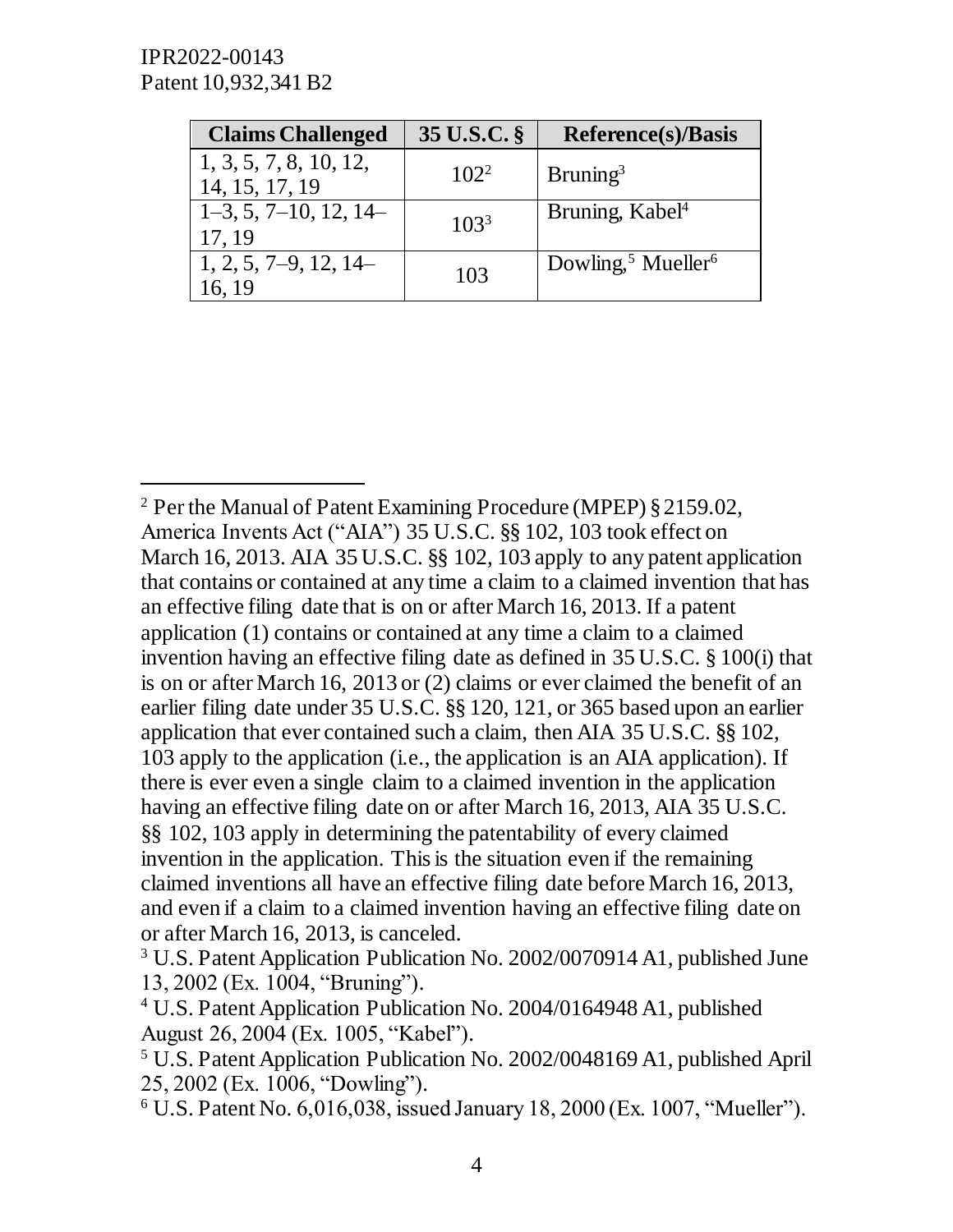IPR2022-00143 Patent 10,932,341 B2

 $\overline{a}$ 

| <b>Claims Challenged</b>                 | 35 U.S.C. §      | <b>Reference(s)/Basis</b>                  |
|------------------------------------------|------------------|--------------------------------------------|
| 1, 3, 5, 7, 8, 10, 12,<br>14, 15, 17, 19 | $102^2$          | $B$ runing <sup>3</sup>                    |
| $1-3, 5, 7-10, 12, 14-$<br>17, 19        | 103 <sup>3</sup> | Bruning, Kabel <sup>4</sup>                |
| $1, 2, 5, 7-9, 12, 14-$<br>6.19          | 103              | Dowling, <sup>5</sup> Mueller <sup>6</sup> |

<sup>2</sup> Per the Manual of Patent Examining Procedure (MPEP) § 2159.02, America Invents Act ("AIA") 35 U.S.C. §§ 102, 103 took effect on March 16, 2013. AIA 35 U.S.C. §§ 102, 103 apply to any patent application that contains or contained at any time a claim to a claimed invention that has an effective filing date that is on or after March 16, 2013. If a patent application (1) contains or contained at any time a claim to a claimed invention having an effective filing date as defined in 35 U.S.C. § 100(i) that is on or after March 16, 2013 or (2) claims or ever claimed the benefit of an earlier filing date under 35 U.S.C. §§ 120, 121, or 365 based upon an earlier application that ever contained such a claim, then AIA 35 U.S.C. §§ 102, 103 apply to the application (i.e., the application is an AIA application). If there is ever even a single claim to a claimed invention in the application having an effective filing date on or after March 16, 2013, AIA 35 U.S.C. §§ 102, 103 apply in determining the patentability of every claimed invention in the application. This is the situation even if the remaining claimed inventions all have an effective filing date before March 16, 2013, and even if a claim to a claimed invention having an effective filing date on or after March 16, 2013, is canceled.

<sup>3</sup> U.S. Patent Application Publication No. 2002/0070914 A1, published June 13, 2002 (Ex. 1004, "Bruning").

<sup>4</sup> U.S. Patent Application Publication No. 2004/0164948 A1, published August 26, 2004 (Ex. 1005, "Kabel").

<sup>5</sup> U.S. Patent Application Publication No. 2002/0048169 A1, published April 25, 2002 (Ex. 1006, "Dowling").

<sup>6</sup> U.S. Patent No. 6,016,038, issued January 18, 2000 (Ex. 1007, "Mueller").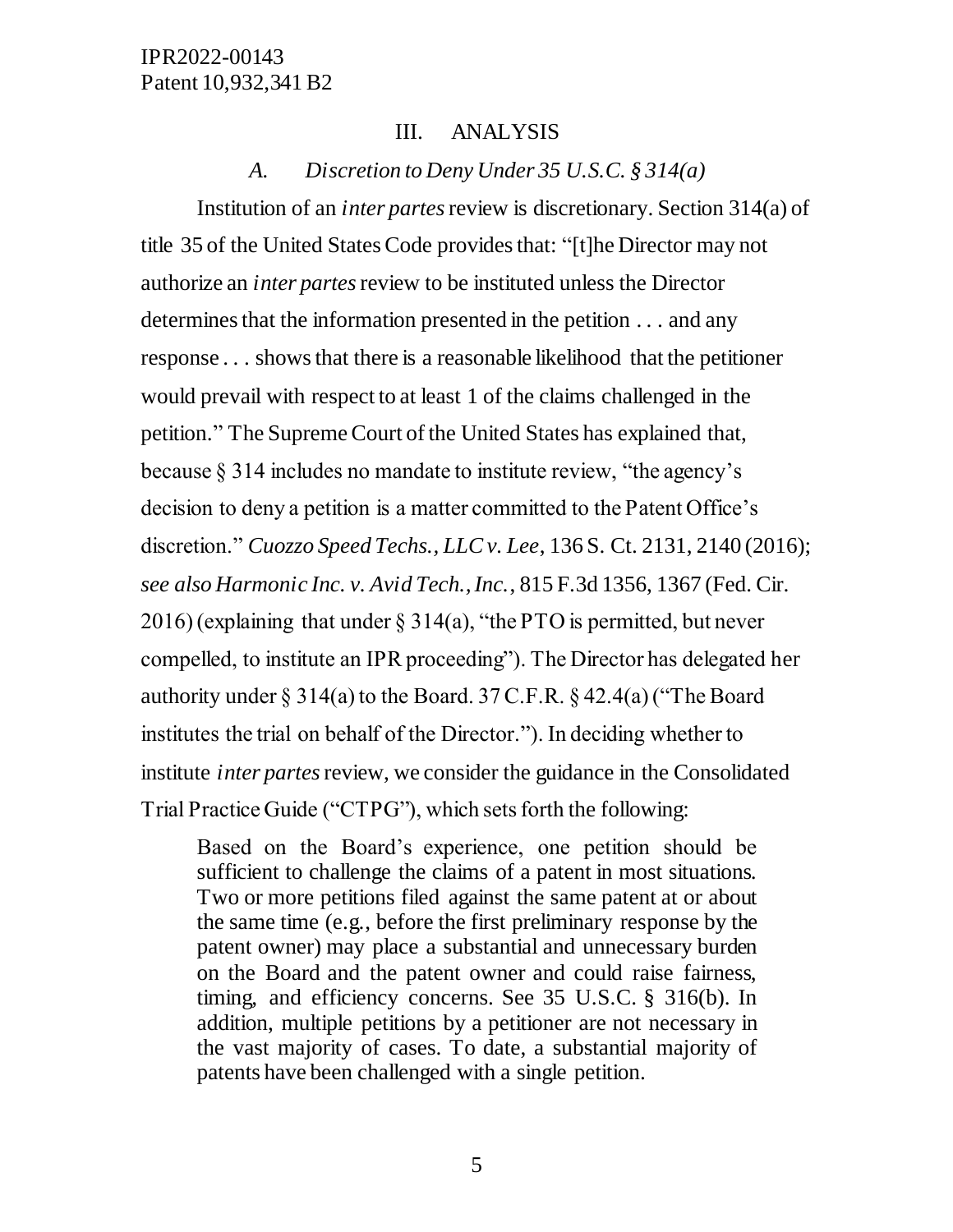## III. ANALYSIS

## *A. Discretion to Deny Under 35 U.S.C. § 314(a)*

Institution of an *inter partes*review is discretionary. Section 314(a) of title 35 of the United States Code provides that: "[t]he Director may not authorize an *inter partes*review to be instituted unless the Director determines that the information presented in the petition . . . and any response . . . shows that there is a reasonable likelihood that the petitioner would prevail with respect to at least 1 of the claims challenged in the petition." The Supreme Court of the United States has explained that, because § 314 includes no mandate to institute review, "the agency's decision to deny a petition is a matter committed to the Patent Office's discretion." *Cuozzo Speed Techs., LLC v. Lee*, 136 S. Ct. 2131, 2140 (2016); *see also Harmonic Inc. v. Avid Tech., Inc.*, 815 F.3d 1356, 1367 (Fed. Cir. 2016) (explaining that under § 314(a), "the PTO is permitted, but never compelled, to institute an IPR proceeding"). The Director has delegated her authority under  $\S 314(a)$  to the Board. 37 C.F.R.  $\S 42.4(a)$  ("The Board institutes the trial on behalf of the Director."). In deciding whether to institute *inter partes*review, we consider the guidance in the Consolidated Trial Practice Guide ("CTPG"), which sets forth the following:

Based on the Board's experience, one petition should be sufficient to challenge the claims of a patent in most situations. Two or more petitions filed against the same patent at or about the same time (e.g., before the first preliminary response by the patent owner) may place a substantial and unnecessary burden on the Board and the patent owner and could raise fairness, timing, and efficiency concerns. See 35 U.S.C. § 316(b). In addition, multiple petitions by a petitioner are not necessary in the vast majority of cases. To date, a substantial majority of patents have been challenged with a single petition.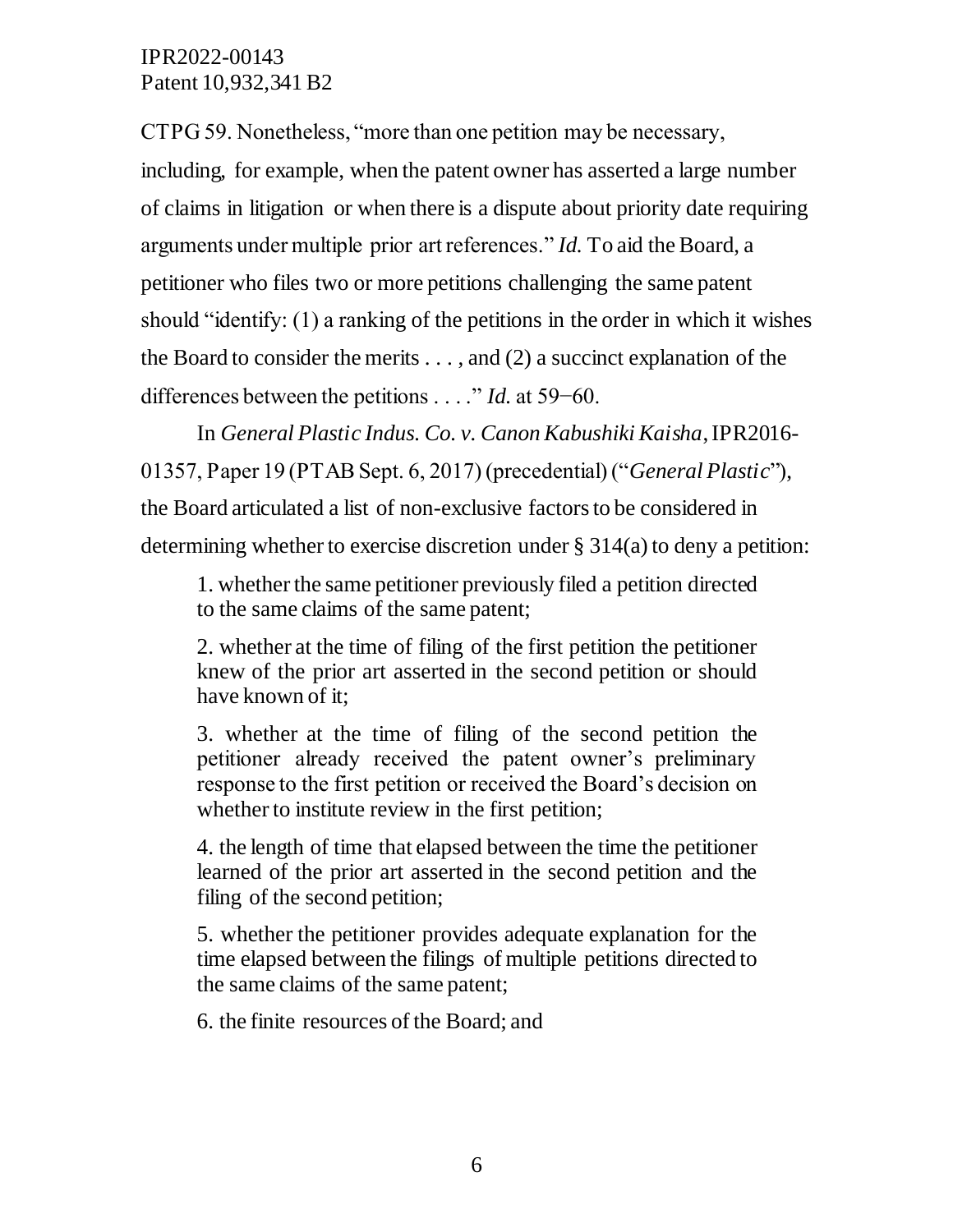CTPG 59. Nonetheless, "more than one petition may be necessary,

including, for example, when the patent owner has asserted a large number of claims in litigation or when there is a dispute about priority date requiring arguments under multiple prior art references." *Id.* To aid the Board, a petitioner who files two or more petitions challenging the same patent should "identify: (1) a ranking of the petitions in the order in which it wishes the Board to consider the merits . . . , and (2) a succinct explanation of the differences between the petitions . . . ." *Id.* at 59−60.

In *General Plastic Indus. Co. v. Canon Kabushiki Kaisha*, IPR2016- 01357, Paper 19 (PTAB Sept. 6, 2017) (precedential) ("*General Plastic*"), the Board articulated a list of non-exclusive factors to be considered in determining whether to exercise discretion under § 314(a) to deny a petition:

1. whether the same petitioner previously filed a petition directed to the same claims of the same patent;

2. whether at the time of filing of the first petition the petitioner knew of the prior art asserted in the second petition or should have known of it;

3. whether at the time of filing of the second petition the petitioner already received the patent owner's preliminary response to the first petition or received the Board's decision on whether to institute review in the first petition;

4. the length of time that elapsed between the time the petitioner learned of the prior art asserted in the second petition and the filing of the second petition;

5. whether the petitioner provides adequate explanation for the time elapsed between the filings of multiple petitions directed to the same claims of the same patent;

6. the finite resources of the Board; and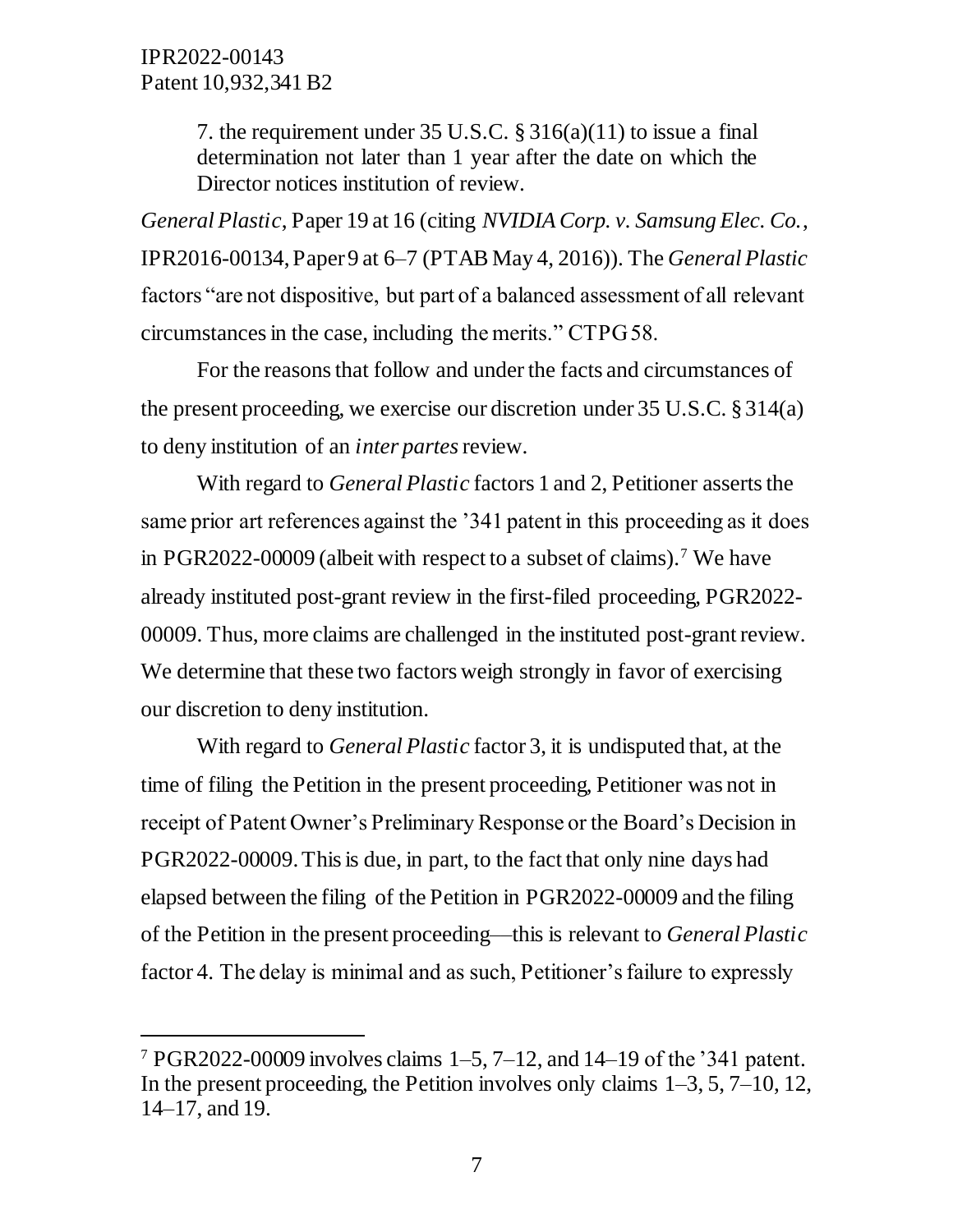$\overline{a}$ 

7. the requirement under 35 U.S.C. § 316(a)(11) to issue a final determination not later than 1 year after the date on which the Director notices institution of review.

*General Plastic*, Paper 19 at 16 (citing *NVIDIA Corp. v. Samsung Elec. Co.*, IPR2016-00134, Paper 9 at 6–7 (PTAB May 4, 2016)). The *General Plastic*  factors "are not dispositive, but part of a balanced assessment of all relevant circumstances in the case, including the merits." CTPG 58.

For the reasons that follow and under the facts and circumstances of the present proceeding, we exercise our discretion under 35 U.S.C. § 314(a) to deny institution of an *inter partes* review.

With regard to *General Plastic* factors 1 and 2, Petitioner asserts the same prior art references against the '341 patent in this proceeding as it does in PGR2022-00009 (albeit with respect to a subset of claims).<sup>7</sup> We have already instituted post-grant review in the first-filed proceeding, PGR2022- 00009. Thus, more claims are challenged in the instituted post-grant review. We determine that these two factors weigh strongly in favor of exercising our discretion to deny institution.

With regard to *General Plastic* factor 3, it is undisputed that, at the time of filing the Petition in the present proceeding, Petitioner was not in receipt of Patent Owner's Preliminary Response or the Board's Decision in PGR2022-00009.This is due, in part, to the fact that only nine days had elapsed between the filing of the Petition in PGR2022-00009 and the filing of the Petition in the present proceeding––this is relevant to *General Plastic*  factor 4. The delay is minimal and as such, Petitioner's failure to expressly

<sup>&</sup>lt;sup>7</sup> PGR2022-00009 involves claims  $1-5$ ,  $7-12$ , and  $14-19$  of the '341 patent. In the present proceeding, the Petition involves only claims  $1-3, 5, 7-10, 12$ , 14–17, and 19.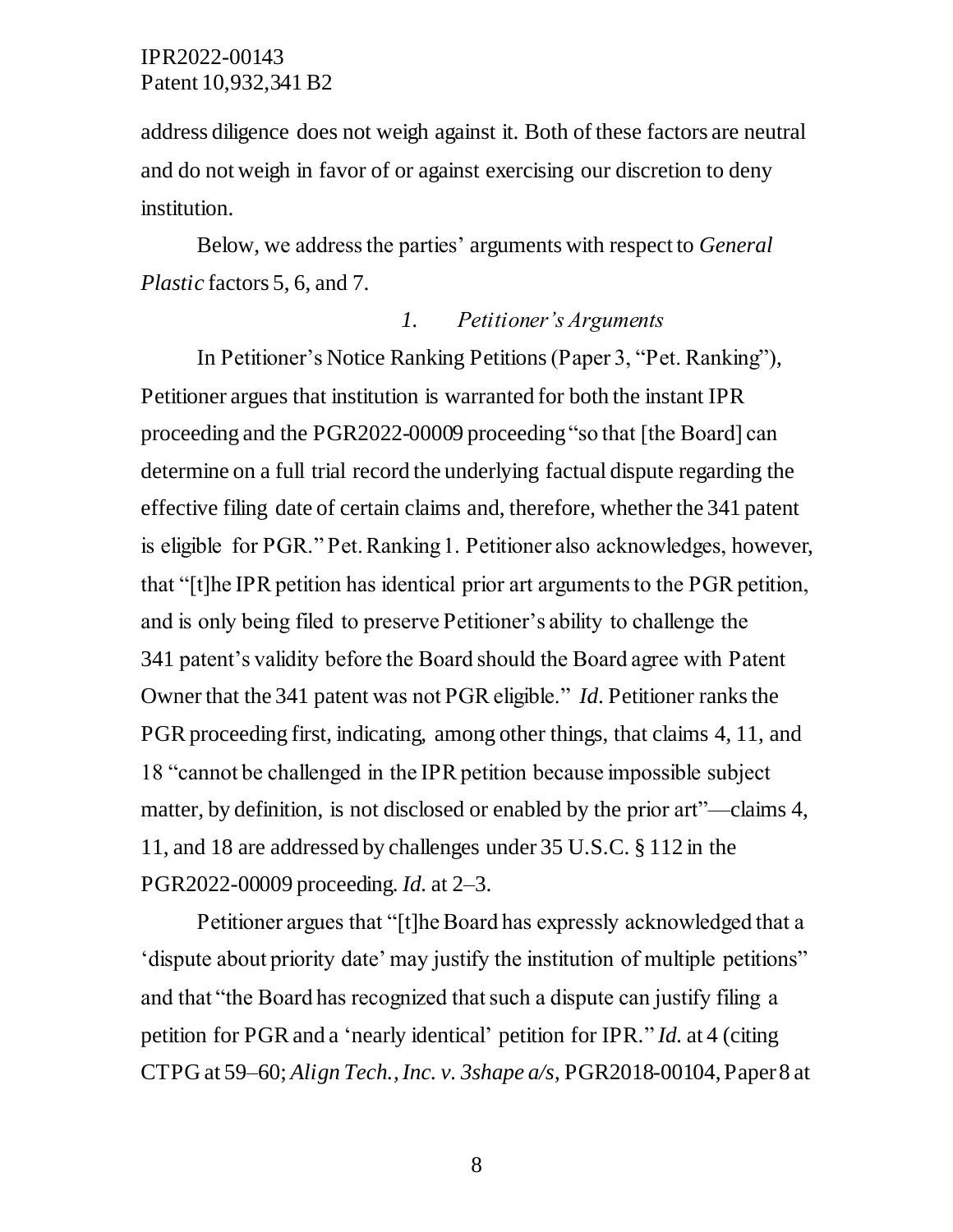address diligence does not weigh against it. Both of these factors are neutral and do not weigh in favor of or against exercising our discretion to deny institution.

Below, we address the parties' arguments with respect to *General Plastic* factors 5, 6, and 7.

## *1. Petitioner's Arguments*

In Petitioner's Notice Ranking Petitions(Paper 3, "Pet. Ranking"), Petitioner argues that institution is warranted for both the instant IPR proceeding and the PGR2022-00009 proceeding"so that [the Board] can determine on a full trial record the underlying factual dispute regarding the effective filing date of certain claims and, therefore, whether the 341 patent is eligible for PGR." Pet. Ranking 1. Petitioner also acknowledges, however, that "[t]he IPR petition has identical prior art arguments to the PGR petition, and is only being filed to preserve Petitioner's ability to challenge the 341 patent's validity before the Board should the Board agree with Patent Owner that the 341 patent was not PGR eligible." *Id*. Petitioner ranks the PGR proceeding first, indicating, among other things, that claims 4, 11, and 18 "cannot be challenged in the IPR petition because impossible subject matter, by definition, is not disclosed or enabled by the prior art"––claims 4, 11, and 18 are addressed by challenges under 35 U.S.C. § 112 in the PGR2022-00009 proceeding. *Id.* at 2–3.

Petitioner argues that "[t]he Board has expressly acknowledged that a 'dispute about priority date' may justify the institution of multiple petitions" and that "the Board has recognized that such a dispute can justify filing a petition for PGR and a 'nearly identical' petition for IPR." *Id.* at 4 (citing CTPG at 59–60; *Align Tech., Inc. v. 3shape a/s*, PGR2018-00104, Paper 8 at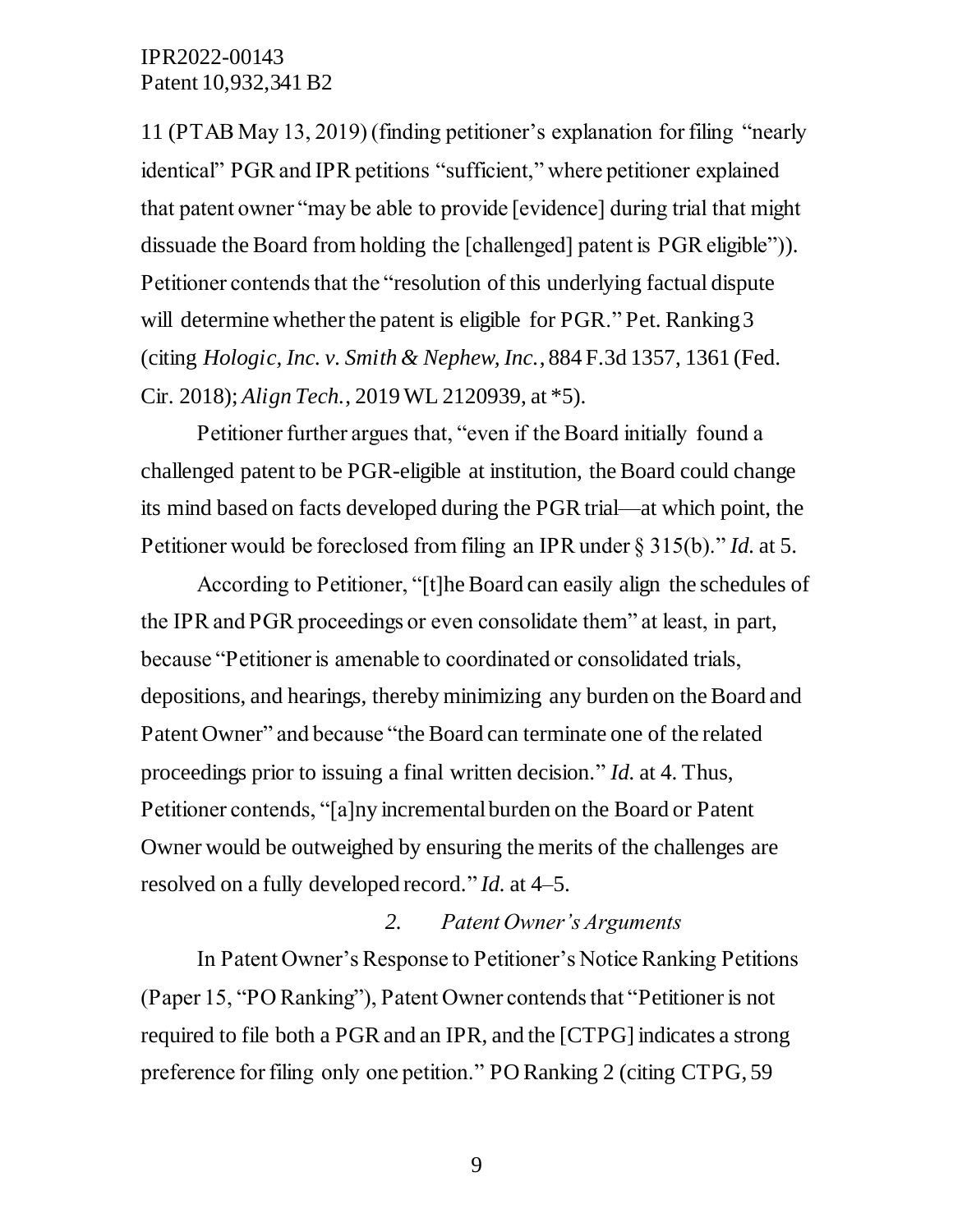11 (PTAB May 13, 2019) (finding petitioner's explanation for filing "nearly identical" PGR and IPR petitions "sufficient," where petitioner explained that patent owner "may be able to provide [evidence] during trial that might dissuade the Board from holding the [challenged] patent is PGR eligible")). Petitioner contends that the "resolution of this underlying factual dispute will determine whether the patent is eligible for PGR." Pet. Ranking 3 (citing *Hologic, Inc. v. Smith & Nephew, Inc.*, 884 F.3d 1357, 1361 (Fed. Cir. 2018); *Align Tech.*, 2019 WL 2120939, at \*5).

Petitioner further argues that, "even if the Board initially found a challenged patent to be PGR-eligible at institution, the Board could change its mind based on facts developed during the PGR trial—at which point, the Petitioner would be foreclosed from filing an IPR under § 315(b)." *Id.* at 5.

According to Petitioner, "[t]he Board can easily align the schedules of the IPR and PGR proceedings or even consolidate them" at least, in part, because "Petitioner is amenable to coordinated or consolidated trials, depositions, and hearings, thereby minimizing any burden on the Board and Patent Owner" and because "the Board can terminate one of the related proceedings prior to issuing a final written decision." *Id.* at 4. Thus, Petitioner contends, "[a]ny incremental burden on the Board or Patent Owner would be outweighed by ensuring the merits of the challenges are resolved on a fully developed record." *Id.* at 4–5.

#### *2. Patent Owner's Arguments*

In Patent Owner's Response to Petitioner's Notice Ranking Petitions (Paper 15, "PO Ranking"), Patent Owner contends that "Petitioner is not required to file both a PGR and an IPR, and the [CTPG] indicates a strong preference for filing only one petition." PO Ranking 2 (citing CTPG, 59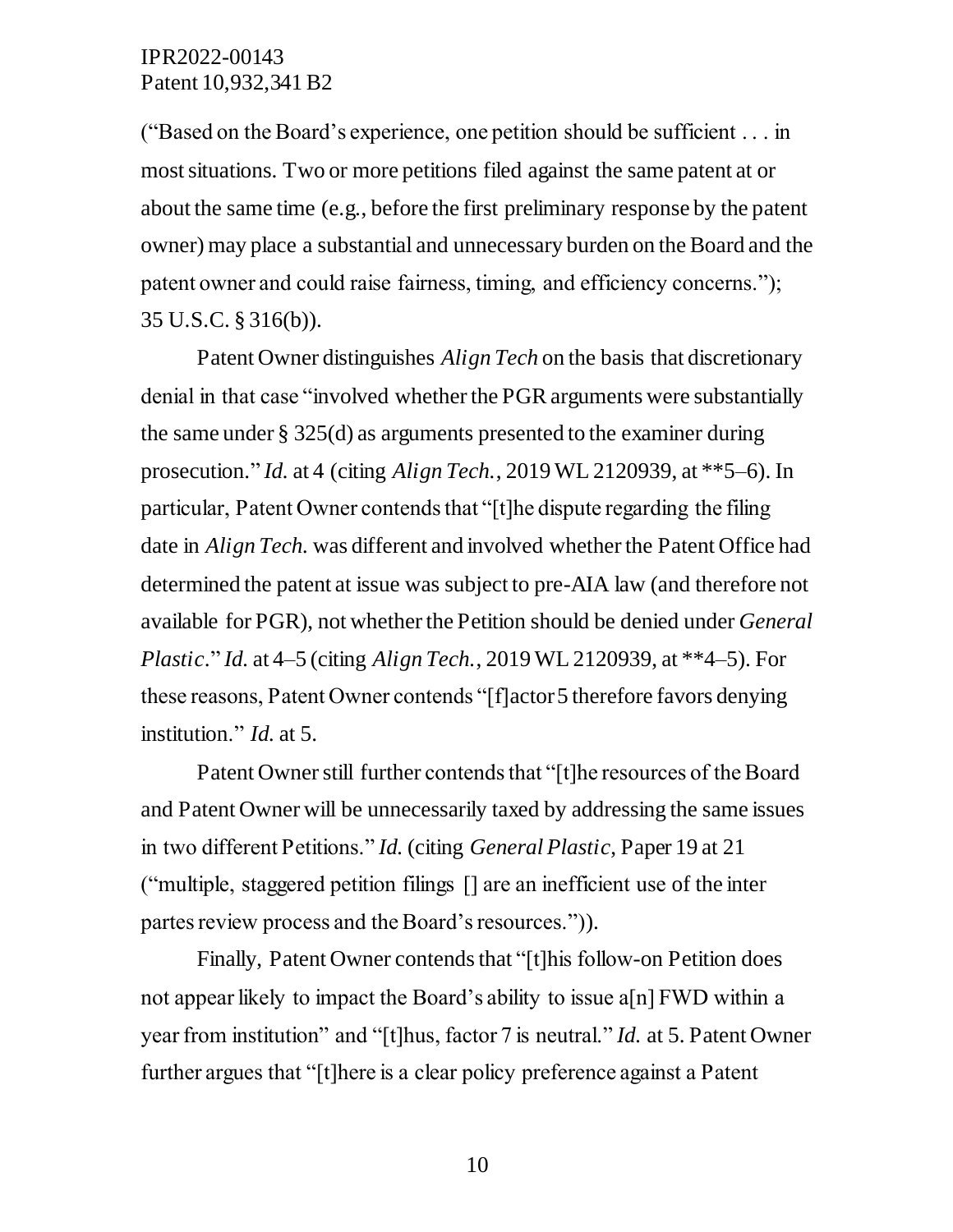("Based on the Board's experience, one petition should be sufficient . . . in most situations. Two or more petitions filed against the same patent at or about the same time (e.g., before the first preliminary response by the patent owner) may place a substantial and unnecessary burden on the Board and the patent owner and could raise fairness, timing, and efficiency concerns."); 35 U.S.C. § 316(b)).

Patent Owner distinguishes *Align Tech* on the basis that discretionary denial in that case "involved whether the PGR arguments were substantially the same under § 325(d) as arguments presented to the examiner during prosecution." *Id.* at 4 (citing *Align Tech.*, 2019 WL 2120939, at \*\*5–6). In particular, Patent Owner contends that "[t]he dispute regarding the filing date in *Align Tech.* was different and involved whether the Patent Office had determined the patent at issue was subject to pre-AIA law (and therefore not available for PGR), not whether the Petition should be denied under *General Plastic*." *Id.* at 4–5 (citing *Align Tech.*, 2019 WL 2120939, at \*\*4–5). For these reasons, Patent Owner contends "[f]actor 5 therefore favors denying institution." *Id.* at 5.

Patent Owner still further contends that "[t]he resources of the Board and Patent Owner will be unnecessarily taxed by addressing the same issues in two different Petitions." *Id.* (citing *General Plastic*, Paper 19 at 21 ("multiple, staggered petition filings [] are an inefficient use of the inter partes review process and the Board's resources.")).

Finally, Patent Owner contends that "[t]his follow-on Petition does not appear likely to impact the Board's ability to issue a[n] FWD within a year from institution" and "[t]hus, factor 7 is neutral." *Id.* at 5. Patent Owner further argues that "[t]here is a clear policy preference against a Patent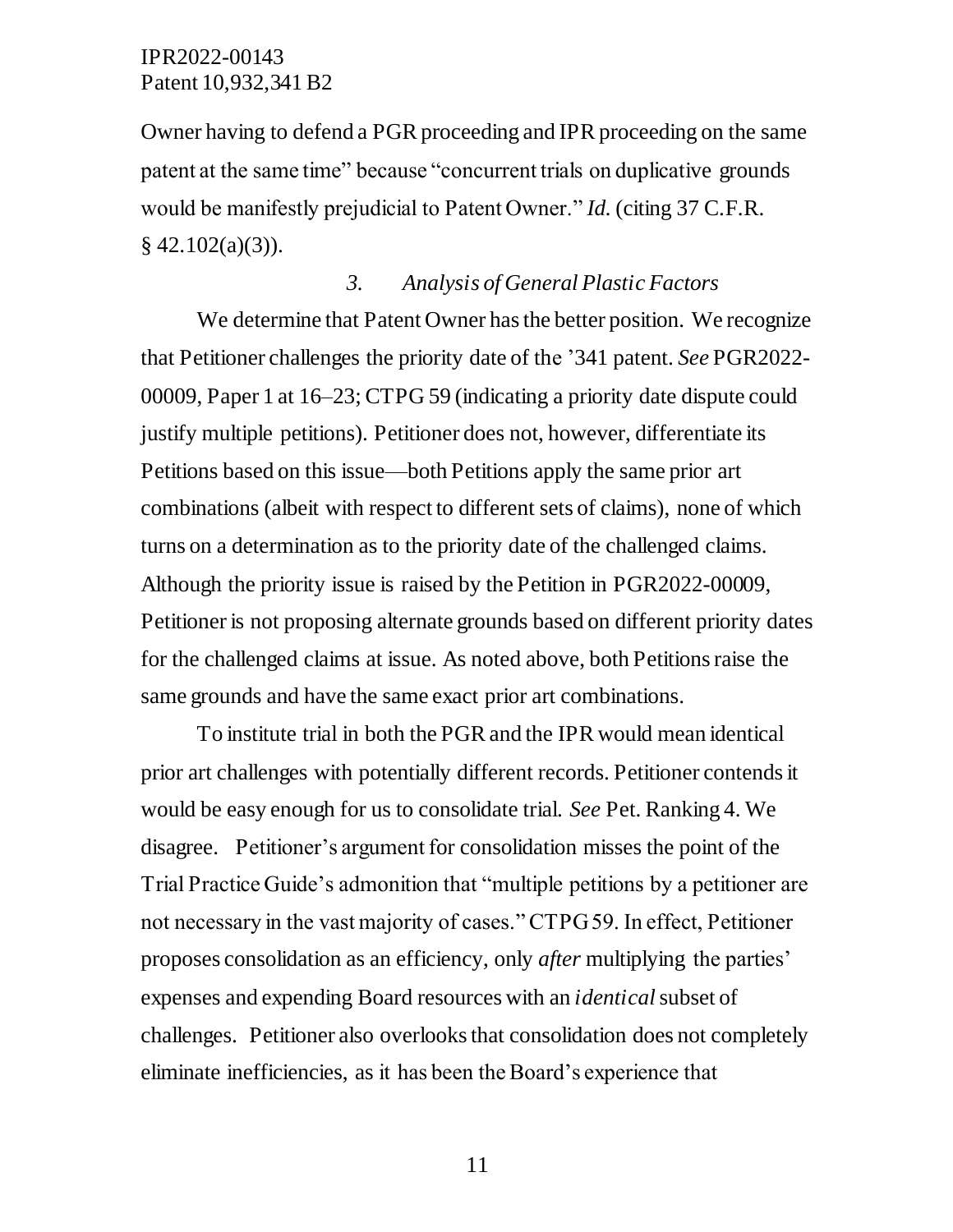Owner having to defend a PGR proceeding and IPR proceeding on the same patent at the same time" because "concurrent trials on duplicative grounds would be manifestly prejudicial to Patent Owner." *Id.* (citing 37 C.F.R.  $§$  42.102(a)(3)).

#### *3. Analysis of General Plastic Factors*

We determine that Patent Owner has the better position. We recognize that Petitioner challenges the priority date of the '341 patent. *See* PGR2022- 00009, Paper 1 at 16–23; CTPG 59 (indicating a priority date dispute could justify multiple petitions). Petitioner does not, however, differentiate its Petitions based on this issue—both Petitions apply the same prior art combinations (albeit with respect to different sets of claims), none of which turns on a determination as to the priority date of the challenged claims. Although the priority issue is raised by the Petition in PGR2022-00009, Petitioner is not proposing alternate grounds based on different priority dates for the challenged claims at issue. As noted above, both Petitions raise the same grounds and have the same exact prior art combinations.

To institute trial in both the PGR and the IPR would mean identical prior art challenges with potentially different records. Petitioner contends it would be easy enough for us to consolidate trial. *See* Pet. Ranking 4. We disagree. Petitioner's argument for consolidation misses the point of the Trial Practice Guide's admonition that "multiple petitions by a petitioner are not necessary in the vast majority of cases." CTPG 59. In effect, Petitioner proposes consolidation as an efficiency, only *after* multiplying the parties' expenses and expending Board resources with an *identical*subset of challenges. Petitioner also overlooks that consolidation does not completely eliminate inefficiencies, as it has been the Board's experience that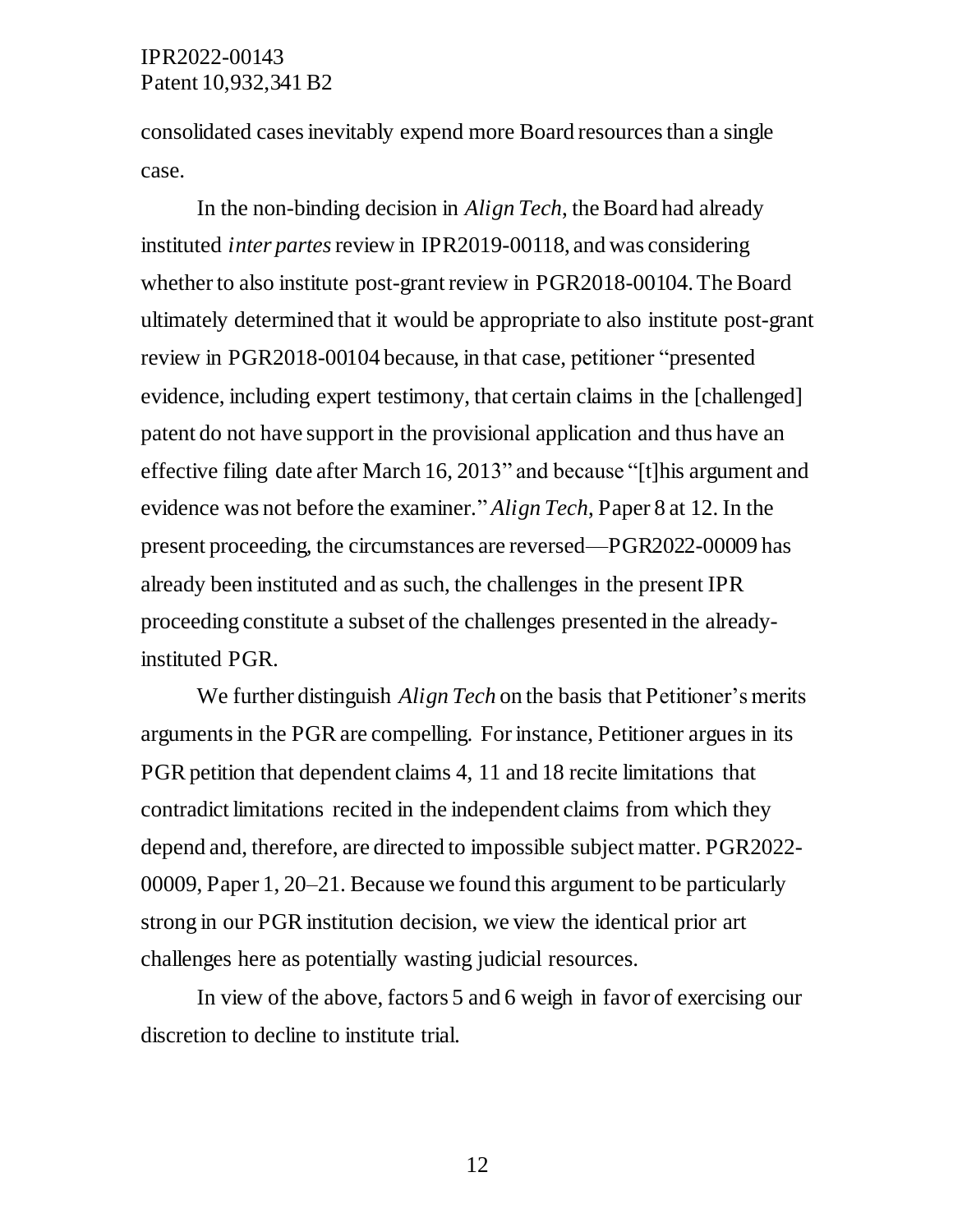consolidated cases inevitably expend more Board resources than a single case.

In the non-binding decision in *Align Tech*, the Board had already instituted *inter partes* review in IPR2019-00118, and was considering whether to also institute post-grant review in PGR2018-00104. The Board ultimately determined that it would be appropriate to also institute post-grant review in PGR2018-00104 because, in that case, petitioner "presented evidence, including expert testimony, that certain claims in the [challenged] patent do not have support in the provisional application and thus have an effective filing date after March 16, 2013" and because "[t]his argument and evidence was not before the examiner." *Align Tech*, Paper 8 at 12. In the present proceeding, the circumstances are reversed––PGR2022-00009 has already been instituted and as such, the challenges in the present IPR proceeding constitute a subset of the challenges presented in the alreadyinstituted PGR.

We further distinguish *Align Tech* on the basis that Petitioner's merits arguments in the PGR are compelling. For instance, Petitioner argues in its PGR petition that dependent claims 4, 11 and 18 recite limitations that contradict limitations recited in the independent claims from which they depend and, therefore, are directed to impossible subject matter. PGR2022- 00009, Paper 1, 20–21. Because we found this argument to be particularly strong in our PGR institution decision, we view the identical prior art challenges here as potentially wasting judicial resources.

In view of the above, factors 5 and 6 weigh in favor of exercising our discretion to decline to institute trial.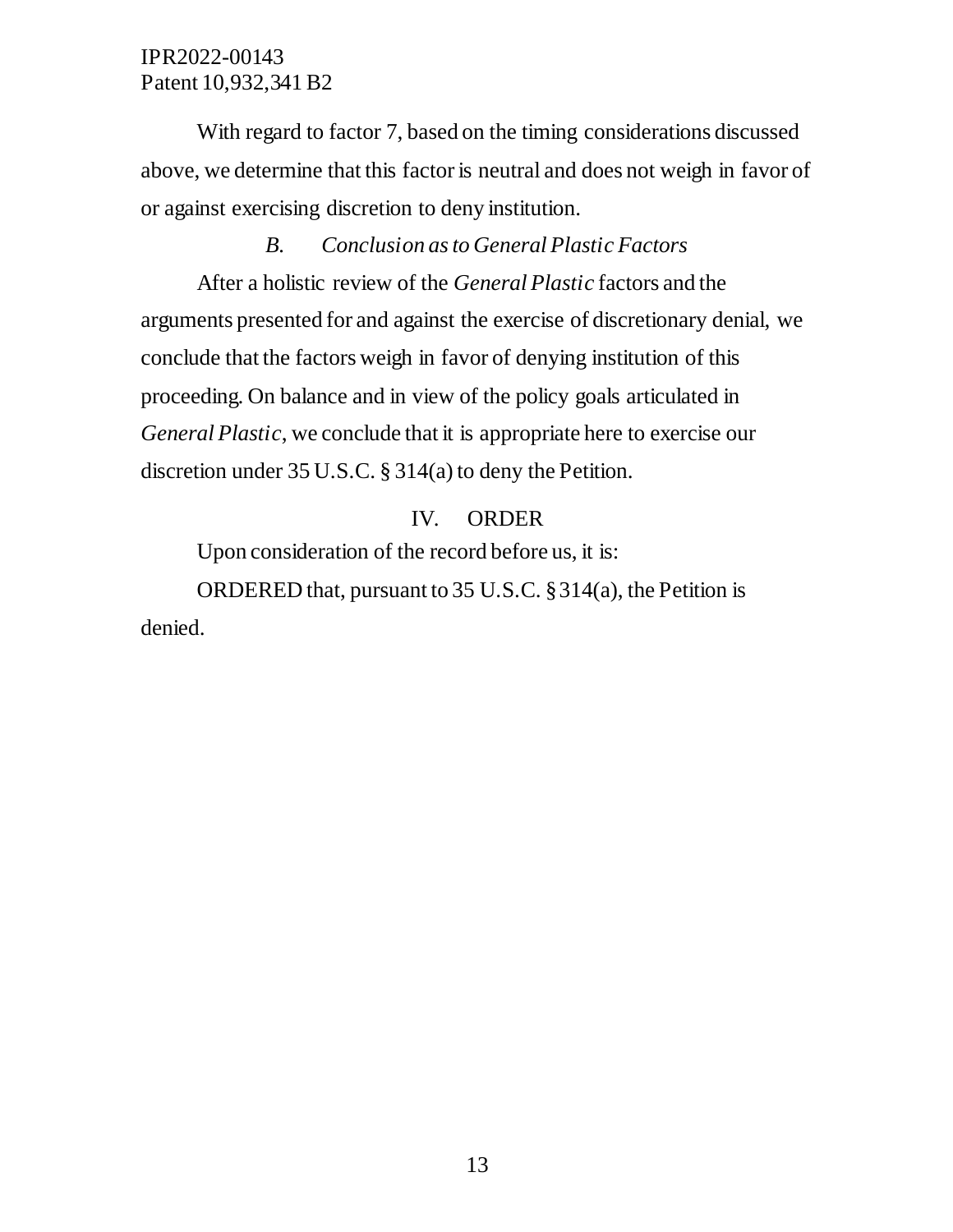With regard to factor 7, based on the timing considerations discussed above, we determine that this factor is neutral and does not weigh in favor of or against exercising discretion to deny institution.

# *B. Conclusion as to General Plastic Factors*

After a holistic review of the *General Plastic* factors and the arguments presented for and against the exercise of discretionary denial, we conclude that the factors weigh in favor of denying institution of this proceeding. On balance and in view of the policy goals articulated in *General Plastic*, we conclude that it is appropriate here to exercise our discretion under 35 U.S.C. § 314(a) to deny the Petition.

# IV. ORDER

Upon consideration of the record before us, it is:

ORDERED that, pursuant to 35 U.S.C. § 314(a), the Petition is denied.